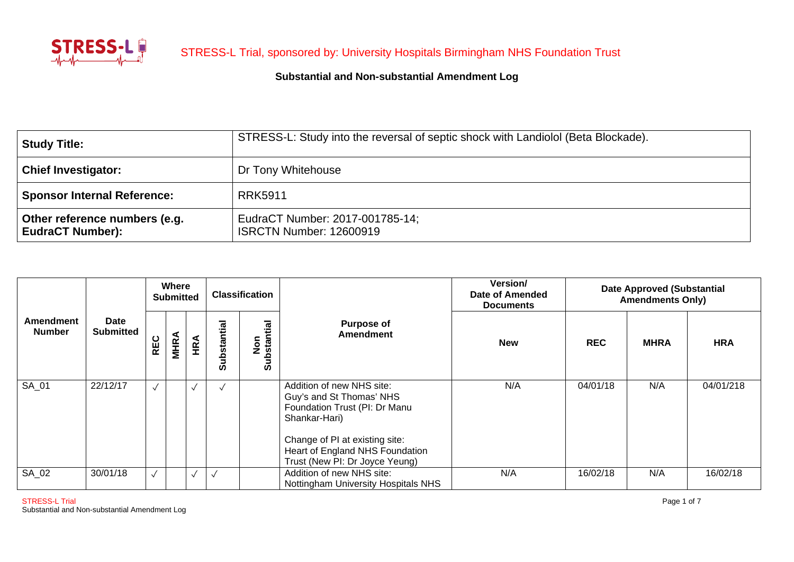

| Study Title:                                             | STRESS-L: Study into the reversal of septic shock with Landiolol (Beta Blockade). |
|----------------------------------------------------------|-----------------------------------------------------------------------------------|
| <b>Chief Investigator:</b>                               | Dr Tony Whitehouse                                                                |
| <b>Sponsor Internal Reference:</b>                       | <b>RRK5911</b>                                                                    |
| Other reference numbers (e.g.<br><b>EudraCT Number):</b> | EudraCT Number: 2017-001785-14;<br><b>ISRCTN Number: 12600919</b>                 |

| Amendment<br><b>Number</b> | <b>Date</b><br><b>Submitted</b> | <b>Where</b><br><b>Submitted</b> |             |           |             | <b>Classification</b>             |                                                                                                                                                                                                                | Version/<br>Date of Amended<br><b>Documents</b> | <b>Date Approved (Substantial</b><br><b>Amendments Only)</b> |             |            |  |
|----------------------------|---------------------------------|----------------------------------|-------------|-----------|-------------|-----------------------------------|----------------------------------------------------------------------------------------------------------------------------------------------------------------------------------------------------------------|-------------------------------------------------|--------------------------------------------------------------|-------------|------------|--|
|                            |                                 | <b>REC</b>                       | <b>MHRA</b> | HRA       | Substantial | ubstantial<br>ος<br>Σ<br><b>S</b> | <b>Purpose of</b><br><b>Amendment</b>                                                                                                                                                                          | <b>New</b>                                      | <b>REC</b>                                                   | <b>MHRA</b> | <b>HRA</b> |  |
| SA 01                      | 22/12/17                        |                                  |             |           | $\sqrt{ }$  |                                   | Addition of new NHS site:<br>Guy's and St Thomas' NHS<br>Foundation Trust (PI: Dr Manu<br>Shankar-Hari)<br>Change of PI at existing site:<br>Heart of England NHS Foundation<br>Trust (New PI: Dr Joyce Yeung) | N/A                                             | 04/01/18                                                     | N/A         | 04/01/218  |  |
| SA_02                      | 30/01/18                        |                                  |             | $\sqrt{}$ | $\sqrt{}$   |                                   | Addition of new NHS site:<br>Nottingham University Hospitals NHS                                                                                                                                               | N/A                                             | 16/02/18                                                     | N/A         | 16/02/18   |  |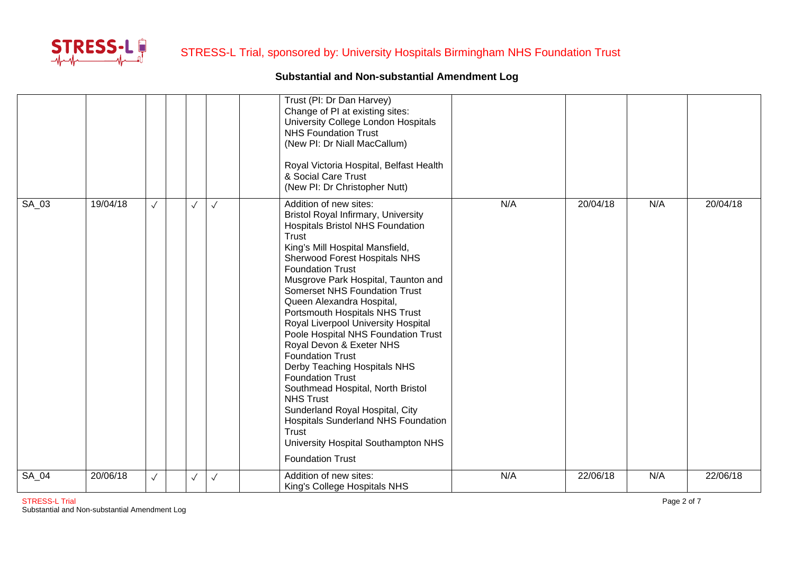

|         |          |              |              |              | Trust (PI: Dr Dan Harvey)<br>Change of PI at existing sites:<br>University College London Hospitals<br><b>NHS Foundation Trust</b><br>(New PI: Dr Niall MacCallum)<br>Royal Victoria Hospital, Belfast Health<br>& Social Care Trust<br>(New PI: Dr Christopher Nutt)                                                                                                                                                                                                                                                                                                                                                                                                                                                                                                                      |     |          |     |          |
|---------|----------|--------------|--------------|--------------|--------------------------------------------------------------------------------------------------------------------------------------------------------------------------------------------------------------------------------------------------------------------------------------------------------------------------------------------------------------------------------------------------------------------------------------------------------------------------------------------------------------------------------------------------------------------------------------------------------------------------------------------------------------------------------------------------------------------------------------------------------------------------------------------|-----|----------|-----|----------|
| SA_03   | 19/04/18 | $\sqrt{}$    | $\sqrt{}$    | $\checkmark$ | Addition of new sites:<br><b>Bristol Royal Infirmary, University</b><br><b>Hospitals Bristol NHS Foundation</b><br>Trust<br>King's Mill Hospital Mansfield,<br>Sherwood Forest Hospitals NHS<br><b>Foundation Trust</b><br>Musgrove Park Hospital, Taunton and<br><b>Somerset NHS Foundation Trust</b><br>Queen Alexandra Hospital,<br>Portsmouth Hospitals NHS Trust<br>Royal Liverpool University Hospital<br>Poole Hospital NHS Foundation Trust<br>Royal Devon & Exeter NHS<br><b>Foundation Trust</b><br>Derby Teaching Hospitals NHS<br><b>Foundation Trust</b><br>Southmead Hospital, North Bristol<br><b>NHS Trust</b><br>Sunderland Royal Hospital, City<br><b>Hospitals Sunderland NHS Foundation</b><br>Trust<br>University Hospital Southampton NHS<br><b>Foundation Trust</b> | N/A | 20/04/18 | N/A | 20/04/18 |
| $SA_04$ | 20/06/18 | $\checkmark$ | $\checkmark$ | $\checkmark$ | Addition of new sites:<br>King's College Hospitals NHS                                                                                                                                                                                                                                                                                                                                                                                                                                                                                                                                                                                                                                                                                                                                     | N/A | 22/06/18 | N/A | 22/06/18 |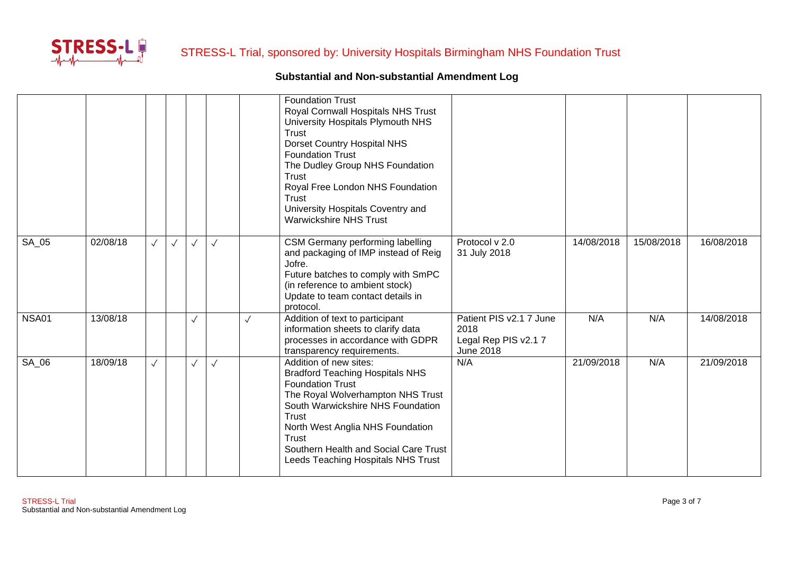

|              |          |              |           |              |              |              | <b>Foundation Trust</b><br>Royal Cornwall Hospitals NHS Trust<br>University Hospitals Plymouth NHS<br>Trust<br><b>Dorset Country Hospital NHS</b><br><b>Foundation Trust</b><br>The Dudley Group NHS Foundation<br><b>Trust</b><br>Royal Free London NHS Foundation<br><b>Trust</b><br>University Hospitals Coventry and<br><b>Warwickshire NHS Trust</b> |                                                                            |            |            |            |
|--------------|----------|--------------|-----------|--------------|--------------|--------------|-----------------------------------------------------------------------------------------------------------------------------------------------------------------------------------------------------------------------------------------------------------------------------------------------------------------------------------------------------------|----------------------------------------------------------------------------|------------|------------|------------|
| SA_05        | 02/08/18 |              | $\sqrt{}$ | $\checkmark$ | $\checkmark$ |              | CSM Germany performing labelling<br>and packaging of IMP instead of Reig<br>Jofre.<br>Future batches to comply with SmPC<br>(in reference to ambient stock)<br>Update to team contact details in<br>protocol.                                                                                                                                             | Protocol v 2.0<br>31 July 2018                                             | 14/08/2018 | 15/08/2018 | 16/08/2018 |
| <b>NSA01</b> | 13/08/18 |              |           | $\checkmark$ |              | $\checkmark$ | Addition of text to participant<br>information sheets to clarify data<br>processes in accordance with GDPR<br>transparency requirements.                                                                                                                                                                                                                  | Patient PIS v2.1 7 June<br>2018<br>Legal Rep PIS v2.17<br><b>June 2018</b> | N/A        | N/A        | 14/08/2018 |
| SA 06        | 18/09/18 | $\checkmark$ |           | $\checkmark$ | $\checkmark$ |              | Addition of new sites:<br><b>Bradford Teaching Hospitals NHS</b><br><b>Foundation Trust</b><br>The Royal Wolverhampton NHS Trust<br>South Warwickshire NHS Foundation<br><b>Trust</b><br>North West Anglia NHS Foundation<br><b>Trust</b><br>Southern Health and Social Care Trust<br>Leeds Teaching Hospitals NHS Trust                                  | N/A                                                                        | 21/09/2018 | N/A        | 21/09/2018 |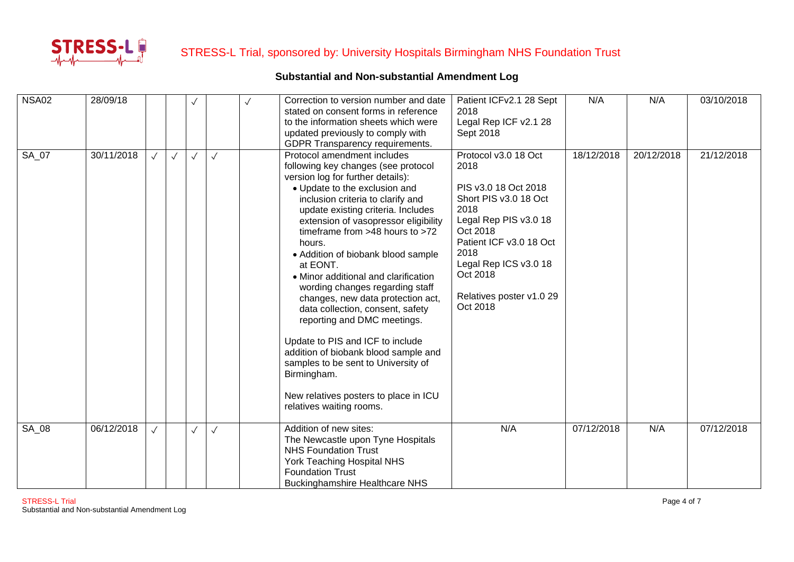

| <b>NSA02</b> | 28/09/18   |           |              | $\sqrt{}$    |              | Correction to version number and date                                    | Patient ICFv2.1 28 Sept      | N/A        | N/A        | 03/10/2018 |
|--------------|------------|-----------|--------------|--------------|--------------|--------------------------------------------------------------------------|------------------------------|------------|------------|------------|
|              |            |           |              |              |              | stated on consent forms in reference                                     | 2018                         |            |            |            |
|              |            |           |              |              |              | to the information sheets which were                                     | Legal Rep ICF v2.1 28        |            |            |            |
|              |            |           |              |              |              | updated previously to comply with                                        | Sept 2018                    |            |            |            |
|              |            |           |              |              |              | GDPR Transparency requirements.                                          |                              |            |            |            |
| SA 07        | 30/11/2018 |           | $\checkmark$ | $\checkmark$ | $\sqrt{}$    | Protocol amendment includes                                              | Protocol v3.0 18 Oct<br>2018 | 18/12/2018 | 20/12/2018 | 21/12/2018 |
|              |            |           |              |              |              | following key changes (see protocol<br>version log for further details): |                              |            |            |            |
|              |            |           |              |              |              | • Update to the exclusion and                                            | PIS v3.0 18 Oct 2018         |            |            |            |
|              |            |           |              |              |              | inclusion criteria to clarify and                                        | Short PIS v3.0 18 Oct        |            |            |            |
|              |            |           |              |              |              | update existing criteria. Includes                                       | 2018                         |            |            |            |
|              |            |           |              |              |              | extension of vasopressor eligibility                                     | Legal Rep PIS v3.0 18        |            |            |            |
|              |            |           |              |              |              | timeframe from $>48$ hours to $>72$                                      | Oct 2018                     |            |            |            |
|              |            |           |              |              |              | hours.                                                                   | Patient ICF v3.0 18 Oct      |            |            |            |
|              |            |           |              |              |              | • Addition of biobank blood sample                                       | 2018                         |            |            |            |
|              |            |           |              |              |              | at EONT.                                                                 | Legal Rep ICS v3.0 18        |            |            |            |
|              |            |           |              |              |              | • Minor additional and clarification                                     | Oct 2018                     |            |            |            |
|              |            |           |              |              |              | wording changes regarding staff                                          |                              |            |            |            |
|              |            |           |              |              |              | changes, new data protection act,                                        | Relatives poster v1.0 29     |            |            |            |
|              |            |           |              |              |              | data collection, consent, safety                                         | Oct 2018                     |            |            |            |
|              |            |           |              |              |              | reporting and DMC meetings.                                              |                              |            |            |            |
|              |            |           |              |              |              | Update to PIS and ICF to include                                         |                              |            |            |            |
|              |            |           |              |              |              | addition of biobank blood sample and                                     |                              |            |            |            |
|              |            |           |              |              |              | samples to be sent to University of                                      |                              |            |            |            |
|              |            |           |              |              |              | Birmingham.                                                              |                              |            |            |            |
|              |            |           |              |              |              |                                                                          |                              |            |            |            |
|              |            |           |              |              |              | New relatives posters to place in ICU                                    |                              |            |            |            |
|              |            |           |              |              |              | relatives waiting rooms.                                                 |                              |            |            |            |
| SA_08        | 06/12/2018 | $\sqrt{}$ |              | $\sqrt{}$    | $\checkmark$ | Addition of new sites:                                                   | N/A                          | 07/12/2018 | N/A        | 07/12/2018 |
|              |            |           |              |              |              | The Newcastle upon Tyne Hospitals                                        |                              |            |            |            |
|              |            |           |              |              |              | <b>NHS Foundation Trust</b>                                              |                              |            |            |            |
|              |            |           |              |              |              | York Teaching Hospital NHS                                               |                              |            |            |            |
|              |            |           |              |              |              |                                                                          |                              |            |            |            |
|              |            |           |              |              |              | <b>Foundation Trust</b>                                                  |                              |            |            |            |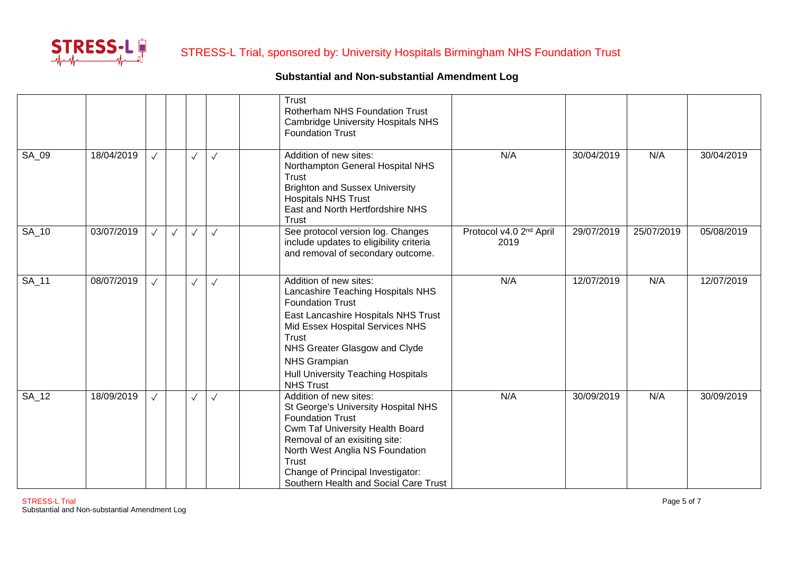

|       |            |              |              |              |              | <b>Trust</b><br><b>Rotherham NHS Foundation Trust</b><br><b>Cambridge University Hospitals NHS</b><br><b>Foundation Trust</b>                                                                                                                                                               |                                             |            |            |            |
|-------|------------|--------------|--------------|--------------|--------------|---------------------------------------------------------------------------------------------------------------------------------------------------------------------------------------------------------------------------------------------------------------------------------------------|---------------------------------------------|------------|------------|------------|
| SA_09 | 18/04/2019 | $\sqrt{}$    |              | $\checkmark$ | $\checkmark$ | Addition of new sites:<br>Northampton General Hospital NHS<br>Trust<br><b>Brighton and Sussex University</b><br><b>Hospitals NHS Trust</b><br>East and North Hertfordshire NHS<br><b>Trust</b>                                                                                              | N/A                                         | 30/04/2019 | N/A        | 30/04/2019 |
| SA_10 | 03/07/2019 | $\checkmark$ | $\checkmark$ | $\checkmark$ | $\checkmark$ | See protocol version log. Changes<br>include updates to eligibility criteria<br>and removal of secondary outcome.                                                                                                                                                                           | Protocol v4.0 2 <sup>nd</sup> April<br>2019 | 29/07/2019 | 25/07/2019 | 05/08/2019 |
| SA_11 | 08/07/2019 | $\sqrt{}$    |              | $\sqrt{}$    | $\checkmark$ | Addition of new sites:<br>Lancashire Teaching Hospitals NHS<br><b>Foundation Trust</b><br>East Lancashire Hospitals NHS Trust<br>Mid Essex Hospital Services NHS<br>Trust<br>NHS Greater Glasgow and Clyde<br>NHS Grampian<br><b>Hull University Teaching Hospitals</b><br><b>NHS Trust</b> | N/A                                         | 12/07/2019 | N/A        | 12/07/2019 |
| SA_12 | 18/09/2019 | $\checkmark$ |              | $\checkmark$ | $\checkmark$ | Addition of new sites:<br>St George's University Hospital NHS<br><b>Foundation Trust</b><br>Cwm Taf University Health Board<br>Removal of an exisiting site:<br>North West Anglia NS Foundation<br>Trust<br>Change of Principal Investigator:<br>Southern Health and Social Care Trust      | N/A                                         | 30/09/2019 | N/A        | 30/09/2019 |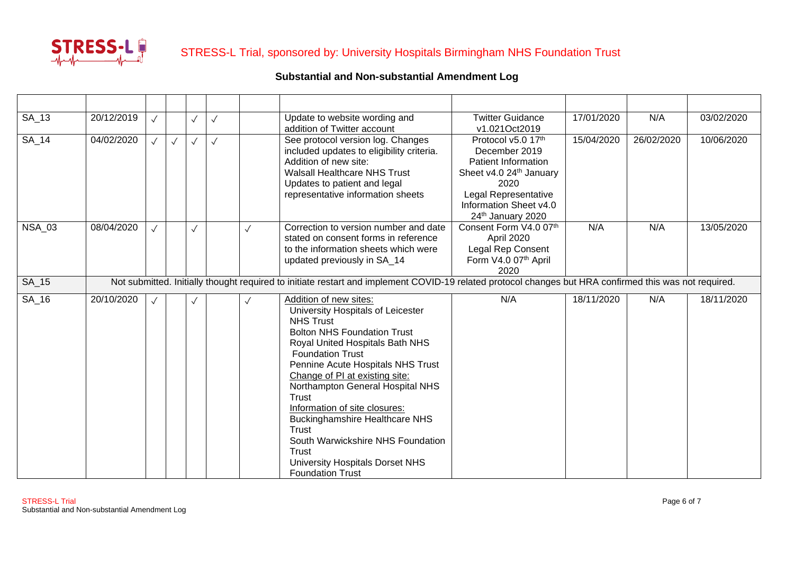

| SA_13         | 20/12/2019 | $\sqrt{}$ |           | $\checkmark$ | $\checkmark$ | Update to website wording and<br>addition of Twitter account                                                                                                                                                                                                                                                                                                                                                                                                                                           | <b>Twitter Guidance</b><br>v1.021Oct2019                                                                                                                             | 17/01/2020 | N/A        | 03/02/2020 |
|---------------|------------|-----------|-----------|--------------|--------------|--------------------------------------------------------------------------------------------------------------------------------------------------------------------------------------------------------------------------------------------------------------------------------------------------------------------------------------------------------------------------------------------------------------------------------------------------------------------------------------------------------|----------------------------------------------------------------------------------------------------------------------------------------------------------------------|------------|------------|------------|
| <b>SA_14</b>  | 04/02/2020 |           | $\sqrt{}$ | $\checkmark$ | $\checkmark$ | See protocol version log. Changes<br>included updates to eligibility criteria.<br>Addition of new site:<br><b>Walsall Healthcare NHS Trust</b><br>Updates to patient and legal<br>representative information sheets                                                                                                                                                                                                                                                                                    | Protocol v5.0 17th<br>December 2019<br>Patient Information<br>Sheet v4.0 24th January<br>2020<br>Legal Representative<br>Information Sheet v4.0<br>24th January 2020 | 15/04/2020 | 26/02/2020 | 10/06/2020 |
| <b>NSA_03</b> | 08/04/2020 |           |           | $\sqrt{}$    |              | Correction to version number and date<br>stated on consent forms in reference<br>to the information sheets which were<br>updated previously in SA_14                                                                                                                                                                                                                                                                                                                                                   | Consent Form V4.0 07th<br>April 2020<br>Legal Rep Consent<br>Form V4.0 07th April<br>2020                                                                            | N/A        | N/A        | 13/05/2020 |
| SA_15         |            |           |           |              |              | Not submitted. Initially thought required to initiate restart and implement COVID-19 related protocol changes but HRA confirmed this was not required.                                                                                                                                                                                                                                                                                                                                                 |                                                                                                                                                                      |            |            |            |
| $SA_16$       | 20/10/2020 | $\sqrt{}$ |           |              |              | Addition of new sites:<br>University Hospitals of Leicester<br><b>NHS Trust</b><br><b>Bolton NHS Foundation Trust</b><br>Royal United Hospitals Bath NHS<br><b>Foundation Trust</b><br>Pennine Acute Hospitals NHS Trust<br>Change of PI at existing site:<br>Northampton General Hospital NHS<br>Trust<br>Information of site closures:<br><b>Buckinghamshire Healthcare NHS</b><br>Trust<br>South Warwickshire NHS Foundation<br>Trust<br>University Hospitals Dorset NHS<br><b>Foundation Trust</b> | N/A                                                                                                                                                                  | 18/11/2020 | N/A        | 18/11/2020 |